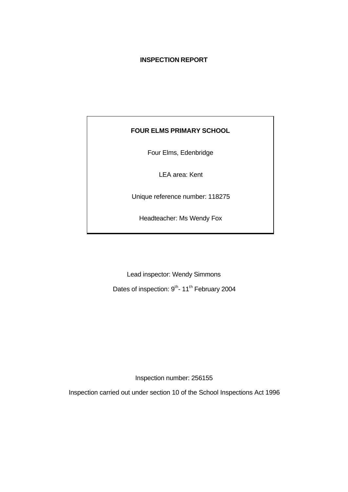## **INSPECTION REPORT**

# **FOUR ELMS PRIMARY SCHOOL**

Four Elms, Edenbridge

LEA area: Kent

Unique reference number: 118275

Headteacher: Ms Wendy Fox

Lead inspector: Wendy Simmons

Dates of inspection: 9<sup>th</sup>- 11<sup>th</sup> February 2004

Inspection number: 256155

Inspection carried out under section 10 of the School Inspections Act 1996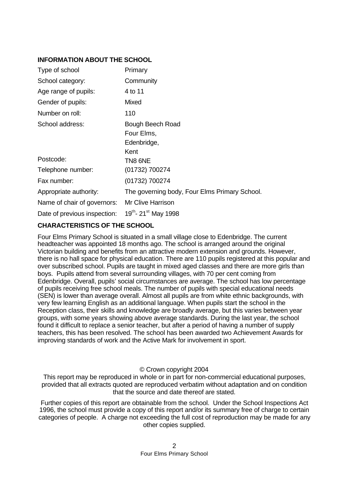# **INFORMATION ABOUT THE SCHOOL**

| Type of school               | Primary                                               |
|------------------------------|-------------------------------------------------------|
| School category:             | Community                                             |
| Age range of pupils:         | 4 to 11                                               |
| Gender of pupils:            | <b>Mixed</b>                                          |
| Number on roll:              | 110                                                   |
| School address:              | Bough Beech Road<br>Four Elms,<br>Edenbridge,<br>Kent |
| Postcode:                    | TN8 6NE                                               |
| Telephone number:            | (01732) 700274                                        |
| Fax number:                  | (01732) 700274                                        |
| Appropriate authority:       | The governing body, Four Elms Primary School.         |
| Name of chair of governors:  | <b>Mr Clive Harrison</b>                              |
| Date of previous inspection: | 19th- 21st May 1998                                   |

# **CHARACTERISTICS OF THE SCHOOL**

Four Elms Primary School is situated in a small village close to Edenbridge. The current headteacher was appointed 18 months ago. The school is arranged around the original Victorian building and benefits from an attractive modern extension and grounds. However, there is no hall space for physical education. There are 110 pupils registered at this popular and over subscribed school. Pupils are taught in mixed aged classes and there are more girls than boys. Pupils attend from several surrounding villages, with 70 per cent coming from Edenbridge. Overall, pupils' social circumstances are average. The school has low percentage of pupils receiving free school meals. The number of pupils with special educational needs (SEN) is lower than average overall. Almost all pupils are from white ethnic backgrounds, with very few learning English as an additional language. When pupils start the school in the Reception class, their skills and knowledge are broadly average, but this varies between year groups, with some years showing above average standards. During the last year, the school found it difficult to replace a senior teacher, but after a period of having a number of supply teachers, this has been resolved. The school has been awarded two Achievement Awards for improving standards of work and the Active Mark for involvement in sport.

# © Crown copyright 2004

This report may be reproduced in whole or in part for non-commercial educational purposes, provided that all extracts quoted are reproduced verbatim without adaptation and on condition that the source and date thereof are stated.

Further copies of this report are obtainable from the school. Under the School Inspections Act 1996, the school must provide a copy of this report and/or its summary free of charge to certain categories of people. A charge not exceeding the full cost of reproduction may be made for any other copies supplied.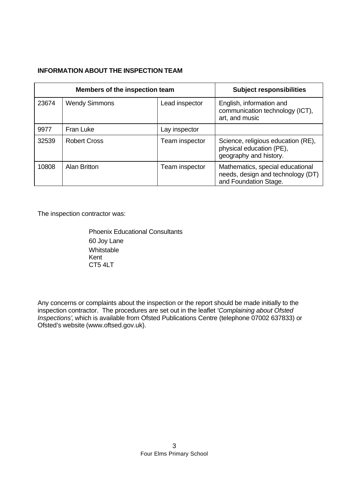# **INFORMATION ABOUT THE INSPECTION TEAM**

| Members of the inspection team |                      |                | <b>Subject responsibilities</b>                                                                |
|--------------------------------|----------------------|----------------|------------------------------------------------------------------------------------------------|
| 23674                          | <b>Wendy Simmons</b> | Lead inspector | English, information and<br>communication technology (ICT),<br>art, and music                  |
| 9977                           | Fran Luke            | Lay inspector  |                                                                                                |
| 32539                          | <b>Robert Cross</b>  | Team inspector | Science, religious education (RE),<br>physical education (PE),<br>geography and history.       |
| 10808                          | <b>Alan Britton</b>  | Team inspector | Mathematics, special educational<br>needs, design and technology (DT)<br>and Foundation Stage. |

The inspection contractor was:

Phoenix Educational Consultants 60 Joy Lane Whitstable Kent CT5 4LT

Any concerns or complaints about the inspection or the report should be made initially to the inspection contractor. The procedures are set out in the leaflet *'Complaining about Ofsted Inspections'*, which is available from Ofsted Publications Centre (telephone 07002 637833) or Ofsted's website (www.oftsed.gov.uk).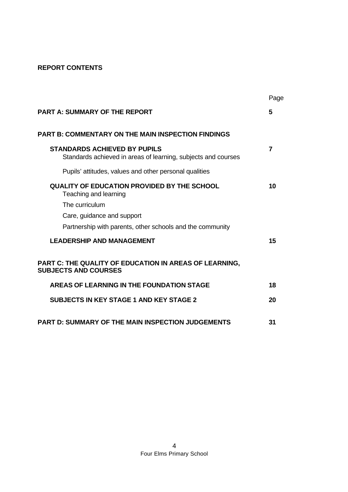# **REPORT CONTENTS**

|                                                                                                      | Page |
|------------------------------------------------------------------------------------------------------|------|
| <b>PART A: SUMMARY OF THE REPORT</b>                                                                 | 5    |
| <b>PART B: COMMENTARY ON THE MAIN INSPECTION FINDINGS</b>                                            |      |
| <b>STANDARDS ACHIEVED BY PUPILS</b><br>Standards achieved in areas of learning, subjects and courses | 7    |
| Pupils' attitudes, values and other personal qualities                                               |      |
| <b>QUALITY OF EDUCATION PROVIDED BY THE SCHOOL</b><br>Teaching and learning                          | 10   |
| The curriculum                                                                                       |      |
| Care, guidance and support                                                                           |      |
| Partnership with parents, other schools and the community                                            |      |
| <b>LEADERSHIP AND MANAGEMENT</b>                                                                     | 15   |
| PART C: THE QUALITY OF EDUCATION IN AREAS OF LEARNING,<br><b>SUBJECTS AND COURSES</b>                |      |
| AREAS OF LEARNING IN THE FOUNDATION STAGE                                                            | 18   |
| <b>SUBJECTS IN KEY STAGE 1 AND KEY STAGE 2</b>                                                       | 20   |
| <b>PART D: SUMMARY OF THE MAIN INSPECTION JUDGEMENTS</b>                                             | 31   |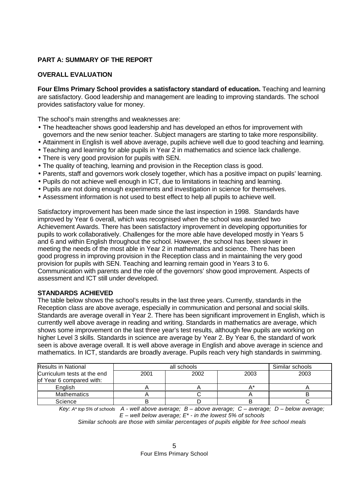# **PART A: SUMMARY OF THE REPORT**

# **OVERALL EVALUATION**

**Four Elms Primary School provides a satisfactory standard of education.** Teaching and learning are satisfactory. Good leadership and management are leading to improving standards. The school provides satisfactory value for money.

The school's main strengths and weaknesses are:

- The headteacher shows good leadership and has developed an ethos for improvement with governors and the new senior teacher. Subject managers are starting to take more responsibility.
- Attainment in English is well above average, pupils achieve well due to good teaching and learning.
- Teaching and learning for able pupils in Year 2 in mathematics and science lack challenge.
- There is very good provision for pupils with SEN.
- The quality of teaching, learning and provision in the Reception class is good.
- Parents, staff and governors work closely together, which has a positive impact on pupils' learning.
- Pupils do not achieve well enough in ICT, due to limitations in teaching and learning.
- Pupils are not doing enough experiments and investigation in science for themselves.
- Assessment information is not used to best effect to help all pupils to achieve well.

Satisfactory improvement has been made since the last inspection in 1998. Standards have improved by Year 6 overall, which was recognised when the school was awarded two Achievement Awards. There has been satisfactory improvement in developing opportunities for pupils to work collaboratively. Challenges for the more able have developed mostly in Years 5 and 6 and within English throughout the school. However, the school has been slower in meeting the needs of the most able in Year 2 in mathematics and science. There has been good progress in improving provision in the Reception class and in maintaining the very good provision for pupils with SEN. Teaching and learning remain good in Years 3 to 6. Communication with parents and the role of the governors' show good improvement. Aspects of assessment and ICT still under developed.

# **STANDARDS ACHIEVED**

The table below shows the school's results in the last three years. Currently, standards in the Reception class are above average, especially in communication and personal and social skills. Standards are average overall in Year 2. There has been significant improvement in English, which is currently well above average in reading and writing. Standards in mathematics are average, which shows some improvement on the last three year's test results, although few pupils are working on higher Level 3 skills. Standards in science are average by Year 2. By Year 6, the standard of work seen is above average overall. It is well above average in English and above average in science and mathematics. In ICT, standards are broadly average. Pupils reach very high standards in swimming.

| <b>Results in National</b>  |      | Similar schools |  |
|-----------------------------|------|-----------------|--|
| Curriculum tests at the end | 2001 | 2003            |  |
| of Year 6 compared with:    |      |                 |  |
| English                     |      |                 |  |
| <b>Mathematics</b>          |      |                 |  |
| Science                     |      |                 |  |

*Key: A\* top 5% of schools A - well above average; B – above average; C – average; D – below average; E – well below average; E\* - in the lowest 5% of schools*

*Similar schools are those with similar percentages of pupils eligible for free school meals*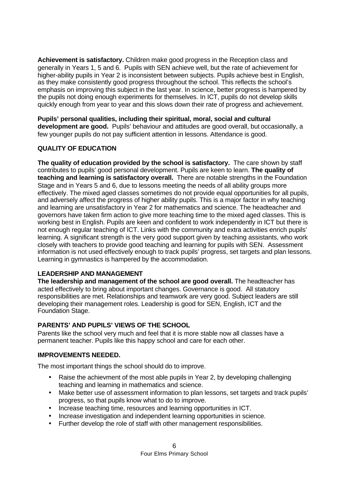**Achievement is satisfactory.** Children make good progress in the Reception class and generally in Years 1, 5 and 6. Pupils with SEN achieve well, but the rate of achievement for higher-ability pupils in Year 2 is inconsistent between subjects. Pupils achieve best in English, as they make consistently good progress throughout the school. This reflects the school's emphasis on improving this subject in the last year. In science, better progress is hampered by the pupils not doing enough experiments for themselves. In ICT, pupils do not develop skills quickly enough from year to year and this slows down their rate of progress and achievement.

**Pupils' personal qualities, including their spiritual, moral, social and cultural development are good.** Pupils' behaviour and attitudes are good overall, but occasionally, a few younger pupils do not pay sufficient attention in lessons. Attendance is good.

# **QUALITY OF EDUCATION**

**The quality of education provided by the school is satisfactory.** The care shown by staff contributes to pupils' good personal development. Pupils are keen to learn. **The quality of teaching and learning is satisfactory overall.** There are notable strengths in the Foundation Stage and in Years 5 and 6, due to lessons meeting the needs of all ability groups more effectively. The mixed aged classes sometimes do not provide equal opportunities for all pupils, and adversely affect the progress of higher ability pupils. This is a major factor in why teaching and learning are unsatisfactory in Year 2 for mathematics and science. The headteacher and governors have taken firm action to give more teaching time to the mixed aged classes. This is working best in English. Pupils are keen and confident to work independently in ICT but there is not enough regular teaching of ICT. Links with the community and extra activities enrich pupils' learning. A significant strength is the very good support given by teaching assistants, who work closely with teachers to provide good teaching and learning for pupils with SEN. Assessment information is not used effectively enough to track pupils' progress, set targets and plan lessons. Learning in gymnastics is hampered by the accommodation.

# **LEADERSHIP AND MANAGEMENT**

**The leadership and management of the school are good overall.** The headteacher has acted effectively to bring about important changes. Governance is good. All statutory responsibilities are met. Relationships and teamwork are very good. Subject leaders are still developing their management roles. Leadership is good for SEN, English, ICT and the Foundation Stage.

# **PARENTS' AND PUPILS' VIEWS OF THE SCHOOL**

Parents like the school very much and feel that it is more stable now all classes have a permanent teacher. Pupils like this happy school and care for each other.

# **IMPROVEMENTS NEEDED.**

The most important things the school should do to improve.

- Raise the achievment of the most able pupils in Year 2, by developing challenging teaching and learning in mathematics and science.
- Make better use of assessment information to plan lessons, set targets and track pupils' progress, so that pupils know what to do to improve.
- Increase teaching time, resources and learning opportunities in ICT.
- Increase investigation and independent learning opportunities in science.
- Further develop the role of staff with other management responsibilities.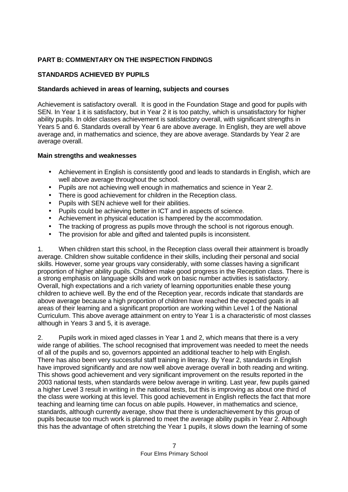# **PART B: COMMENTARY ON THE INSPECTION FINDINGS**

# **STANDARDS ACHIEVED BY PUPILS**

## **Standards achieved in areas of learning, subjects and courses**

Achievement is satisfactory overall. It is good in the Foundation Stage and good for pupils with SEN. In Year 1 it is satisfactory, but in Year 2 it is too patchy, which is unsatisfactory for higher ability pupils. In older classes achievement is satisfactory overall, with significant strengths in Years 5 and 6. Standards overall by Year 6 are above average. In English, they are well above average and, in mathematics and science, they are above average. Standards by Year 2 are average overall.

## **Main strengths and weaknesses**

- Achievement in English is consistently good and leads to standards in English, which are well above average throughout the school.
- Pupils are not achieving well enough in mathematics and science in Year 2.
- There is good achievement for children in the Reception class.
- Pupils with SEN achieve well for their abilities.
- Pupils could be achieving better in ICT and in aspects of science.
- Achievement in physical education is hampered by the accommodation.
- The tracking of progress as pupils move through the school is not rigorous enough.
- The provision for able and gifted and talented pupils is inconsistent.

1. When children start this school, in the Reception class overall their attainment is broadly average. Children show suitable confidence in their skills, including their personal and social skills. However, some year groups vary considerably, with some classes having a significant proportion of higher ability pupils. Children make good progress in the Reception class. There is a strong emphasis on language skills and work on basic number activities is satisfactory. Overall, high expectations and a rich variety of learning opportunities enable these young children to achieve well. By the end of the Reception year, records indicate that standards are above average because a high proportion of children have reached the expected goals in all areas of their learning and a significant proportion are working within Level 1 of the National Curriculum. This above average attainment on entry to Year 1 is a characteristic of most classes although in Years 3 and 5, it is average.

2. Pupils work in mixed aged classes in Year 1 and 2, which means that there is a very wide range of abilities. The school recognised that improvement was needed to meet the needs of all of the pupils and so, governors appointed an additional teacher to help with English. There has also been very successful staff training in literacy. By Year 2, standards in English have improved significantly and are now well above average overall in both reading and writing. This shows good achievement and very significant improvement on the results reported in the 2003 national tests, when standards were below average in writing. Last year, few pupils gained a higher Level 3 result in writing in the national tests, but this is improving as about one third of the class were working at this level. This good achievement in English reflects the fact that more teaching and learning time can focus on able pupils. However, in mathematics and science, standards, although currently average, show that there is underachievement by this group of pupils because too much work is planned to meet the average ability pupils in Year 2. Although this has the advantage of often stretching the Year 1 pupils, it slows down the learning of some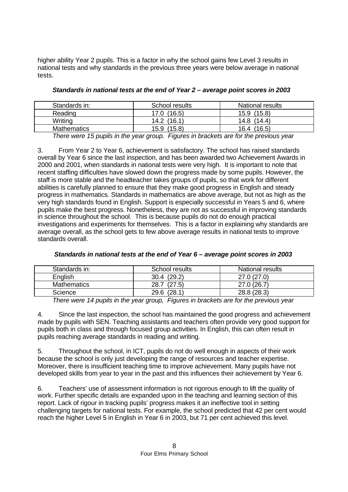higher ability Year 2 pupils. This is a factor in why the school gains few Level 3 results in national tests and why standards in the previous three years were below average in national tests.

| Standards in:      | School results | National results |
|--------------------|----------------|------------------|
| Reading            | 17.0 (16.5)    | 15.9 (15.8)      |
| Writing            | (16.1)<br>14.2 | 14.8 (14.4)      |
| <b>Mathematics</b> | (15.8)<br>15.9 | (16.5)<br>16.4   |

*Standards in national tests at the end of Year 2 – average point scores in 2003*

*There were 15 pupils in the year group. Figures in brackets are for the previous year*

3. From Year 2 to Year 6, achievement is satisfactory. The school has raised standards overall by Year 6 since the last inspection, and has been awarded two Achievement Awards in 2000 and 2001, when standards in national tests were very high. It is important to note that recent staffing difficulties have slowed down the progress made by some pupils. However, the staff is more stable and the headteacher takes groups of pupils, so that work for different abilities is carefully planned to ensure that they make good progress in English and steady progress in mathematics. Standards in mathematics are above average, but not as high as the very high standards found in English. Support is especially successful in Years 5 and 6, where pupils make the best progress. Nonetheless, they are not as successful in improving standards in science throughout the school. This is because pupils do not do enough practical investigations and experiments for themselves. This is a factor in explaining why standards are average overall, as the school gets to few above average results in national tests to improve standards overall.

| Standards in:      | School results | National results |
|--------------------|----------------|------------------|
| English            | 30.4(29.2)     | 27.0(27.0)       |
| <b>Mathematics</b> | (27.5)<br>28.7 | 27.0 (26.7)      |
| Science            | 29.6 (28.1)    | 28.8 (28.3)      |

#### *Standards in national tests at the end of Year 6 – average point scores in 2003*

*There were 14 pupils in the year group, Figures in brackets are for the previous year*

4. Since the last inspection, the school has maintained the good progress and achievement made by pupils with SEN. Teaching assistants and teachers often provide very good support for pupils both in class and through focused group activities. In English, this can often result in pupils reaching average standards in reading and writing.

5. Throughout the school, in ICT, pupils do not do well enough in aspects of their work because the school is only just developing the range of resources and teacher expertise. Moreover, there is insufficient teaching time to improve achievement. Many pupils have not developed skills from year to year in the past and this influences their achievement by Year 6.

6. Teachers' use of assessment information is not rigorous enough to lift the quality of work. Further specific details are expanded upon in the teaching and learning section of this report. Lack of rigour in tracking pupils' progress makes it an ineffective tool in setting challenging targets for national tests. For example, the school predicted that 42 per cent would reach the higher Level 5 in English in Year 6 in 2003, but 71 per cent achieved this level.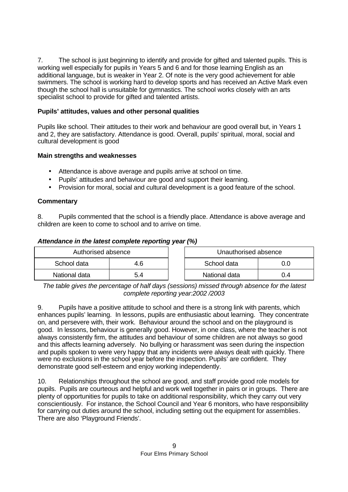7. The school is just beginning to identify and provide for gifted and talented pupils. This is working well especially for pupils in Years 5 and 6 and for those learning English as an additional language, but is weaker in Year 2. Of note is the very good achievement for able swimmers. The school is working hard to develop sports and has received an Active Mark even though the school hall is unsuitable for gymnastics. The school works closely with an arts specialist school to provide for gifted and talented artists.

# **Pupils' attitudes, values and other personal qualities**

Pupils like school. Their attitudes to their work and behaviour are good overall but, in Years 1 and 2, they are satisfactory. Attendance is good. Overall, pupils' spiritual, moral, social and cultural development is good

# **Main strengths and weaknesses**

- **·** Attendance is above average and pupils arrive at school on time.
- **·** Pupils' attitudes and behaviour are good and support their learning.
- **·** Provision for moral, social and cultural development is a good feature of the school.

# **Commentary**

8. Pupils commented that the school is a friendly place. Attendance is above average and children are keen to come to school and to arrive on time.

# *Attendance in the latest complete reporting year (%)*

| Authorised absence |     | Unauthorised absence |    |
|--------------------|-----|----------------------|----|
| School data        | 4.6 | School data          |    |
| National data      | 5.4 | National data        | .4 |

*The table gives the percentage of half days (sessions) missed through absence for the latest complete reporting year:2002 /2003*

9. Pupils have a positive attitude to school and there is a strong link with parents, which enhances pupils' learning. In lessons, pupils are enthusiastic about learning. They concentrate on, and persevere with, their work. Behaviour around the school and on the playground is good. In lessons, behaviour is generally good. However, in one class, where the teacher is not always consistently firm, the attitudes and behaviour of some children are not always so good and this affects learning adversely. No bullying or harassment was seen during the inspection and pupils spoken to were very happy that any incidents were always dealt with quickly. There were no exclusions in the school year before the inspection. Pupils' are confident. They demonstrate good self-esteem and enjoy working independently.

10. Relationships throughout the school are good, and staff provide good role models for pupils. Pupils are courteous and helpful and work well together in pairs or in groups. There are plenty of opportunities for pupils to take on additional responsibility, which they carry out very conscientiously. For instance, the School Council and Year 6 monitors, who have responsibility for carrying out duties around the school, including setting out the equipment for assemblies. There are also 'Playground Friends'.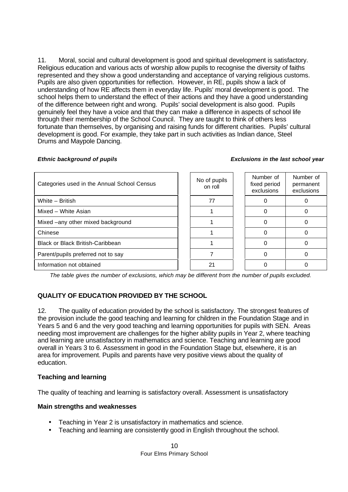11. Moral, social and cultural development is good and spiritual development is satisfactory. Religious education and various acts of worship allow pupils to recognise the diversity of faiths represented and they show a good understanding and acceptance of varying religious customs. Pupils are also given opportunities for reflection. However, in RE, pupils show a lack of understanding of how RE affects them in everyday life. Pupils' moral development is good. The school helps them to understand the effect of their actions and they have a good understanding of the difference between right and wrong. Pupils' social development is also good. Pupils genuinely feel they have a voice and that they can make a difference in aspects of school life through their membership of the School Council. They are taught to think of others less fortunate than themselves, by organising and raising funds for different charities. Pupils' cultural development is good. For example, they take part in such activities as Indian dance, Steel Drums and Maypole Dancing.

#### *Ethnic background of pupils Exclusions in the last school year*

| Categories used in the Annual School Census | No of pupils<br>on roll | Number of<br>fixed period<br>exclusions | Number of<br>permanent<br>exclusions |
|---------------------------------------------|-------------------------|-----------------------------------------|--------------------------------------|
| White - British                             | 77                      |                                         |                                      |
| Mixed - White Asian                         |                         |                                         |                                      |
| Mixed -any other mixed background           |                         |                                         |                                      |
| Chinese                                     |                         |                                         |                                      |
| <b>Black or Black British-Caribbean</b>     |                         |                                         |                                      |
| Parent/pupils preferred not to say          |                         |                                         |                                      |
| Information not obtained                    | 21                      |                                         |                                      |

 $\overline{ }$ 

*The table gives the number of exclusions, which may be different from the number of pupils excluded.*

# **QUALITY OF EDUCATION PROVIDED BY THE SCHOOL**

12. The quality of education provided by the school is satisfactory. The strongest features of the provision include the good teaching and learning for children in the Foundation Stage and in Years 5 and 6 and the very good teaching and learning opportunities for pupils with SEN. Areas needing most improvement are challenges for the higher ability pupils in Year 2, where teaching and learning are unsatisfactory in mathematics and science. Teaching and learning are good overall in Years 3 to 6. Assessment in good in the Foundation Stage but, elsewhere, it is an area for improvement. Pupils and parents have very positive views about the quality of education.

# **Teaching and learning**

The quality of teaching and learning is satisfactory overall. Assessment is unsatisfactory

# **Main strengths and weaknesses**

- Teaching in Year 2 is unsatisfactory in mathematics and science.
- Teaching and learning are consistently good in English throughout the school.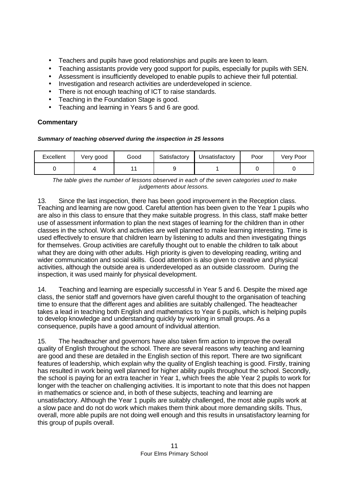- Teachers and pupils have good relationships and pupils are keen to learn.
- Teaching assistants provide very good support for pupils, especially for pupils with SEN.
- Assessment is insufficiently developed to enable pupils to achieve their full potential.
- Investigation and research activities are underdeveloped in science.
- There is not enough teaching of ICT to raise standards.
- Teaching in the Foundation Stage is good.
- Teaching and learning in Years 5 and 6 are good.

# **Commentary**

# *Summary of teaching observed during the inspection in 25 lessons*

| Excellent | Very good | Good | Satisfactory | Unsatisfactory | Poor | Very Poor |
|-----------|-----------|------|--------------|----------------|------|-----------|
|           |           |      |              |                |      |           |

*The table gives the number of lessons observed in each of the seven categories used to make judgements about lessons.*

13. Since the last inspection, there has been good improvement in the Reception class. Teaching and learning are now good. Careful attention has been given to the Year 1 pupils who are also in this class to ensure that they make suitable progress. In this class, staff make better use of assessment information to plan the next stages of learning for the children than in other classes in the school. Work and activities are well planned to make learning interesting. Time is used effectively to ensure that children learn by listening to adults and then investigating things for themselves. Group activities are carefully thought out to enable the children to talk about what they are doing with other adults. High priority is given to developing reading, writing and wider communication and social skills. Good attention is also given to creative and physical activities, although the outside area is underdeveloped as an outside classroom. During the inspection, it was used mainly for physical development.

14. Teaching and learning are especially successful in Year 5 and 6. Despite the mixed age class, the senior staff and governors have given careful thought to the organisation of teaching time to ensure that the different ages and abilities are suitably challenged. The headteacher takes a lead in teaching both English and mathematics to Year 6 pupils, which is helping pupils to develop knowledge and understanding quickly by working in small groups. As a consequence, pupils have a good amount of individual attention.

15. The headteacher and governors have also taken firm action to improve the overall quality of English throughout the school. There are several reasons why teaching and learning are good and these are detailed in the English section of this report. There are two significant features of leadership, which explain why the quality of English teaching is good. Firstly, training has resulted in work being well planned for higher ability pupils throughout the school. Secondly, the school is paying for an extra teacher in Year 1, which frees the able Year 2 pupils to work for longer with the teacher on challenging activities. It is important to note that this does not happen in mathematics or science and, in both of these subjects, teaching and learning are unsatisfactory. Although the Year 1 pupils are suitably challenged, the most able pupils work at a slow pace and do not do work which makes them think about more demanding skills. Thus, overall, more able pupils are not doing well enough and this results in unsatisfactory learning for this group of pupils overall.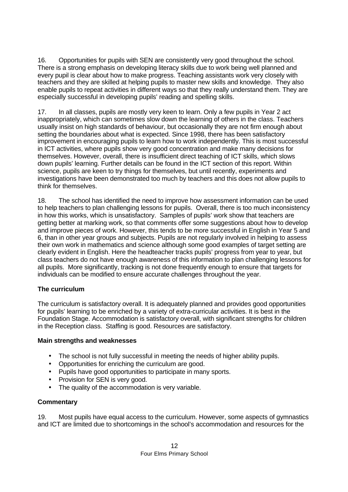16. Opportunities for pupils with SEN are consistently very good throughout the school. There is a strong emphasis on developing literacy skills due to work being well planned and every pupil is clear about how to make progress. Teaching assistants work very closely with teachers and they are skilled at helping pupils to master new skills and knowledge. They also enable pupils to repeat activities in different ways so that they really understand them. They are especially successful in developing pupils' reading and spelling skills.

17. In all classes, pupils are mostly very keen to learn. Only a few pupils in Year 2 act inappropriately, which can sometimes slow down the learning of others in the class. Teachers usually insist on high standards of behaviour, but occasionally they are not firm enough about setting the boundaries about what is expected. Since 1998, there has been satisfactory improvement in encouraging pupils to learn how to work independently. This is most successful in ICT activities, where pupils show very good concentration and make many decisions for themselves. However, overall, there is insufficient direct teaching of ICT skills, which slows down pupils' learning. Further details can be found in the ICT section of this report. Within science, pupils are keen to try things for themselves, but until recently, experiments and investigations have been demonstrated too much by teachers and this does not allow pupils to think for themselves.

18. The school has identified the need to improve how assessment information can be used to help teachers to plan challenging lessons for pupils. Overall, there is too much inconsistency in how this works, which is unsatisfactory. Samples of pupils' work show that teachers are getting better at marking work, so that comments offer some suggestions about how to develop and improve pieces of work. However, this tends to be more successful in English in Year 5 and 6, than in other year groups and subjects. Pupils are not regularly involved in helping to assess their own work in mathematics and science although some good examples of target setting are clearly evident in English. Here the headteacher tracks pupils' progress from year to year, but class teachers do not have enough awareness of this information to plan challenging lessons for all pupils. More significantly, tracking is not done frequently enough to ensure that targets for individuals can be modified to ensure accurate challenges throughout the year.

# **The curriculum**

The curriculum is satisfactory overall. It is adequately planned and provides good opportunities for pupils' learning to be enriched by a variety of extra-curricular activities. It is best in the Foundation Stage. Accommodation is satisfactory overall, with significant strengths for children in the Reception class. Staffing is good. Resources are satisfactory.

# **Main strengths and weaknesses**

- **·** The school is not fully successful in meeting the needs of higher ability pupils.
- **·** Opportunities for enriching the curriculum are good.
- **·** Pupils have good opportunities to participate in many sports.
- Provision for SEN is very good.
- **·** The quality of the accommodation is very variable.

# **Commentary**

19. Most pupils have equal access to the curriculum. However, some aspects of gymnastics and ICT are limited due to shortcomings in the school's accommodation and resources for the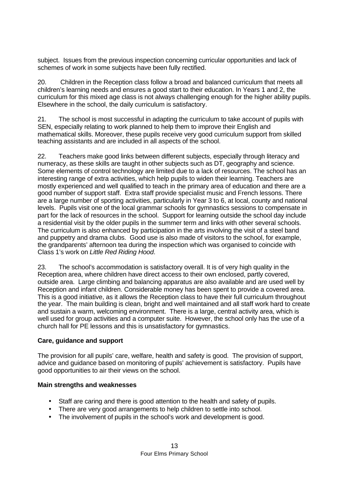subject. Issues from the previous inspection concerning curricular opportunities and lack of schemes of work in some subjects have been fully rectified.

20. Children in the Reception class follow a broad and balanced curriculum that meets all children's learning needs and ensures a good start to their education. In Years 1 and 2, the curriculum for this mixed age class is not always challenging enough for the higher ability pupils. Elsewhere in the school, the daily curriculum is satisfactory.

21. The school is most successful in adapting the curriculum to take account of pupils with SEN, especially relating to work planned to help them to improve their English and mathematical skills. Moreover, these pupils receive very good curriculum support from skilled teaching assistants and are included in all aspects of the school.

22. Teachers make good links between different subjects, especially through literacy and numeracy, as these skills are taught in other subjects such as DT, geography and science. Some elements of control technology are limited due to a lack of resources. The school has an interesting range of extra activities, which help pupils to widen their learning. Teachers are mostly experienced and well qualified to teach in the primary area of education and there are a good number of support staff. Extra staff provide specialist music and French lessons. There are a large number of sporting activities, particularly in Year 3 to 6, at local, county and national levels. Pupils visit one of the local grammar schools for gymnastics sessions to compensate in part for the lack of resources in the school. Support for learning outside the school day include a residential visit by the older pupils in the summer term and links with other several schools. The curriculum is also enhanced by participation in the arts involving the visit of a steel band and puppetry and drama clubs. Good use is also made of visitors to the school, for example, the grandparents' afternoon tea during the inspection which was organised to coincide with Class 1's work on *Little Red Riding Hood*.

23. The school's accommodation is satisfactory overall. It is of very high quality in the Reception area, where children have direct access to their own enclosed, partly covered, outside area. Large climbing and balancing apparatus are also available and are used well by Reception and infant children. Considerable money has been spent to provide a covered area. This is a good initiative, as it allows the Reception class to have their full curriculum throughout the year. The main building is clean, bright and well maintained and all staff work hard to create and sustain a warm, welcoming environment. There is a large, central activity area, which is well used for group activities and a computer suite. However, the school only has the use of a church hall for PE lessons and this is unsatisfactory for gymnastics.

#### **Care, guidance and support**

The provision for all pupils' care, welfare, health and safety is good. The provision of support, advice and guidance based on monitoring of pupils' achievement is satisfactory. Pupils have good opportunities to air their views on the school.

# **Main strengths and weaknesses**

- Staff are caring and there is good attention to the health and safety of pupils.
- There are very good arrangements to help children to settle into school.
- The involvement of pupils in the school's work and development is good.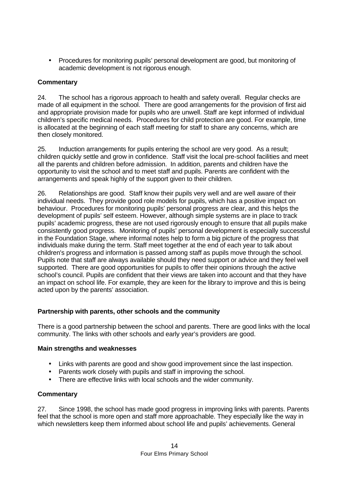• Procedures for monitoring pupils' personal development are good, but monitoring of academic development is not rigorous enough.

## **Commentary**

24. The school has a rigorous approach to health and safety overall. Regular checks are made of all equipment in the school. There are good arrangements for the provision of first aid and appropriate provision made for pupils who are unwell. Staff are kept informed of individual children's specific medical needs. Procedures for child protection are good. For example, time is allocated at the beginning of each staff meeting for staff to share any concerns, which are then closely monitored.

25. Induction arrangements for pupils entering the school are very good. As a result; children quickly settle and grow in confidence. Staff visit the local pre-school facilities and meet all the parents and children before admission. In addition, parents and children have the opportunity to visit the school and to meet staff and pupils. Parents are confident with the arrangements and speak highly of the support given to their children.

26. Relationships are good. Staff know their pupils very well and are well aware of their individual needs. They provide good role models for pupils, which has a positive impact on behaviour. Procedures for monitoring pupils' personal progress are clear, and this helps the development of pupils' self esteem. However, although simple systems are in place to track pupils' academic progress, these are not used rigorously enough to ensure that all pupils make consistently good progress. Monitoring of pupils' personal development is especially successful in the Foundation Stage, where informal notes help to form a big picture of the progress that individuals make during the term. Staff meet together at the end of each year to talk about children's progress and information is passed among staff as pupils move through the school. Pupils note that staff are always available should they need support or advice and they feel well supported. There are good opportunities for pupils to offer their opinions through the active school's council. Pupils are confident that their views are taken into account and that they have an impact on school life. For example, they are keen for the library to improve and this is being acted upon by the parents' association.

# **Partnership with parents, other schools and the community**

There is a good partnership between the school and parents. There are good links with the local community. The links with other schools and early year's providers are good.

#### **Main strengths and weaknesses**

- Links with parents are good and show good improvement since the last inspection.
- Parents work closely with pupils and staff in improving the school.
- There are effective links with local schools and the wider community.

#### **Commentary**

27. Since 1998, the school has made good progress in improving links with parents. Parents feel that the school is more open and staff more approachable. They especially like the way in which newsletters keep them informed about school life and pupils' achievements. General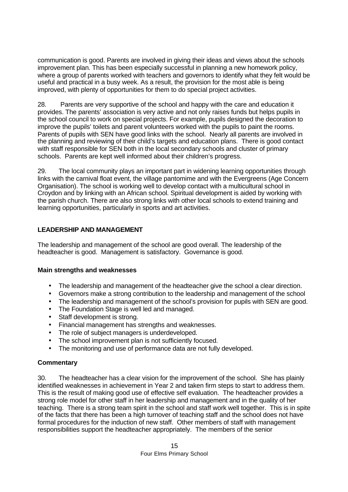communication is good. Parents are involved in giving their ideas and views about the schools improvement plan. This has been especially successful in planning a new homework policy, where a group of parents worked with teachers and governors to identify what they felt would be useful and practical in a busy week. As a result, the provision for the most able is being improved, with plenty of opportunities for them to do special project activities.

28. Parents are very supportive of the school and happy with the care and education it provides. The parents' association is very active and not only raises funds but helps pupils in the school council to work on special projects. For example, pupils designed the decoration to improve the pupils' toilets and parent volunteers worked with the pupils to paint the rooms. Parents of pupils with SEN have good links with the school. Nearly all parents are involved in the planning and reviewing of their child's targets and education plans. There is good contact with staff responsible for SEN both in the local secondary schools and cluster of primary schools. Parents are kept well informed about their children's progress.

29. The local community plays an important part in widening learning opportunities through links with the carnival float event, the village pantomime and with the Evergreens (Age Concern Organisation). The school is working well to develop contact with a multicultural school in Croydon and by linking with an African school. Spiritual development is aided by working with the parish church. There are also strong links with other local schools to extend training and learning opportunities, particularly in sports and art activities.

# **LEADERSHIP AND MANAGEMENT**

The leadership and management of the school are good overall. The leadership of the headteacher is good. Management is satisfactory. Governance is good.

#### **Main strengths and weaknesses**

- The leadership and management of the headteacher give the school a clear direction.
- Governors make a strong contribution to the leadership and management of the school
- The leadership and management of the school's provision for pupils with SEN are good.
- The Foundation Stage is well led and managed.
- Staff development is strong.
- Financial management has strengths and weaknesses.
- The role of subject managers is underdeveloped.
- The school improvement plan is not sufficiently focused.
- The monitoring and use of performance data are not fully developed.

# **Commentary**

30. The headteacher has a clear vision for the improvement of the school. She has plainly identified weaknesses in achievement in Year 2 and taken firm steps to start to address them. This is the result of making good use of effective self evaluation. The headteacher provides a strong role model for other staff in her leadership and management and in the quality of her teaching. There is a strong team spirit in the school and staff work well together. This is in spite of the facts that there has been a high turnover of teaching staff and the school does not have formal procedures for the induction of new staff. Other members of staff with management responsibilities support the headteacher appropriately. The members of the senior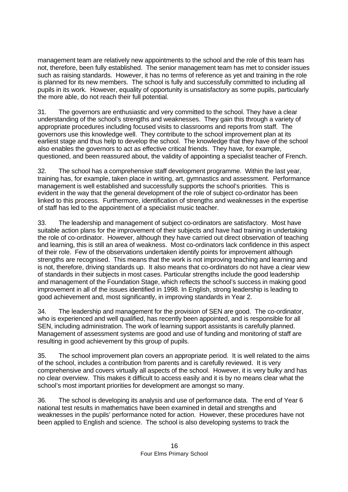management team are relatively new appointments to the school and the role of this team has not, therefore, been fully established. The senior management team has met to consider issues such as raising standards. However, it has no terms of reference as yet and training in the role is planned for its new members. The school is fully and successfully committed to including all pupils in its work. However, equality of opportunity is unsatisfactory as some pupils, particularly the more able, do not reach their full potential.

31. The governors are enthusiastic and very committed to the school. They have a clear understanding of the school's strengths and weaknesses. They gain this through a variety of appropriate procedures including focused visits to classrooms and reports from staff. The governors use this knowledge well. They contribute to the school improvement plan at its earliest stage and thus help to develop the school. The knowledge that they have of the school also enables the governors to act as effective critical friends. They have, for example, questioned, and been reassured about, the validity of appointing a specialist teacher of French.

32. The school has a comprehensive staff development programme. Within the last year, training has, for example, taken place in writing, art, gymnastics and assessment. Performance management is well established and successfully supports the school's priorities. This is evident in the way that the general development of the role of subject co-ordinator has been linked to this process. Furthermore, identification of strengths and weaknesses in the expertise of staff has led to the appointment of a specialist music teacher.

33. The leadership and management of subject co-ordinators are satisfactory. Most have suitable action plans for the improvement of their subjects and have had training in undertaking the role of co-ordinator. However, although they have carried out direct observation of teaching and learning, this is still an area of weakness. Most co-ordinators lack confidence in this aspect of their role. Few of the observations undertaken identify points for improvement although strengths are recognised. This means that the work is not improving teaching and learning and is not, therefore, driving standards up. It also means that co-ordinators do not have a clear view of standards in their subjects in most cases. Particular strengths include the good leadership and management of the Foundation Stage, which reflects the school's success in making good improvement in all of the issues identified in 1998. In English, strong leadership is leading to good achievement and, most significantly, in improving standards in Year 2.

34. The leadership and management for the provision of SEN are good. The co-ordinator, who is experienced and well qualified, has recently been appointed, and is responsible for all SEN, including administration. The work of learning support assistants is carefully planned. Management of assessment systems are good and use of funding and monitoring of staff are resulting in good achievement by this group of pupils.

35. The school improvement plan covers an appropriate period. It is well related to the aims of the school, includes a contribution from parents and is carefully reviewed. It is very comprehensive and covers virtually all aspects of the school. However, it is very bulky and has no clear overview. This makes it difficult to access easily and it is by no means clear what the school's most important priorities for development are amongst so many.

36. The school is developing its analysis and use of performance data. The end of Year 6 national test results in mathematics have been examined in detail and strengths and weaknesses in the pupils' performance noted for action. However, these procedures have not been applied to English and science. The school is also developing systems to track the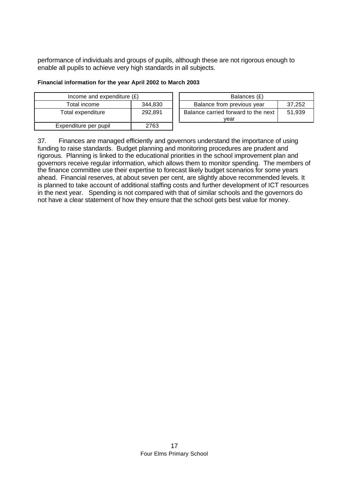performance of individuals and groups of pupils, although these are not rigorous enough to enable all pupils to achieve very high standards in all subjects.

#### **Financial information for the year April 2002 to March 2003**

| Income and expenditure $(E)$ |         | Balances (£)                        |        |  |
|------------------------------|---------|-------------------------------------|--------|--|
| Total income                 | 344.830 | Balance from previous year          | 37,252 |  |
| Total expenditure            | 292.891 | Balance carried forward to the next | 51,939 |  |
|                              |         | vear                                |        |  |
| Expenditure per pupil        | 2763    |                                     |        |  |

37. Finances are managed efficiently and governors understand the importance of using funding to raise standards. Budget planning and monitoring procedures are prudent and rigorous. Planning is linked to the educational priorities in the school improvement plan and governors receive regular information, which allows them to monitor spending. The members of the finance committee use their expertise to forecast likely budget scenarios for some years ahead. Financial reserves, at about seven per cent, are slightly above recommended levels. It is planned to take account of additional staffing costs and further development of ICT resources in the next year. Spending is not compared with that of similar schools and the governors do not have a clear statement of how they ensure that the school gets best value for money.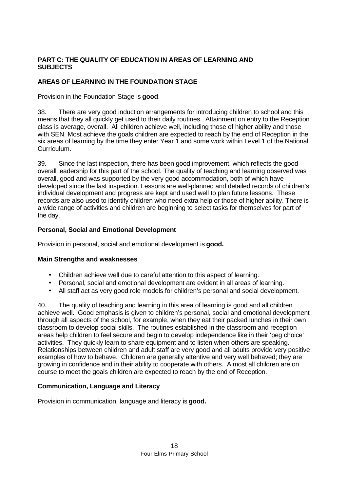# **PART C: THE QUALITY OF EDUCATION IN AREAS OF LEARNING AND SUBJECTS**

# **AREAS OF LEARNING IN THE FOUNDATION STAGE**

Provision in the Foundation Stage is **good**.

38. There are very good induction arrangements for introducing children to school and this means that they all quickly get used to their daily routines. Attainment on entry to the Reception class is average, overall. All children achieve well, including those of higher ability and those with SEN. Most achieve the goals children are expected to reach by the end of Reception in the six areas of learning by the time they enter Year 1 and some work within Level 1 of the National Curriculum.

39. Since the last inspection, there has been good improvement, which reflects the good overall leadership for this part of the school. The quality of teaching and learning observed was overall, good and was supported by the very good accommodation, both of which have developed since the last inspection. Lessons are well-planned and detailed records of children's individual development and progress are kept and used well to plan future lessons. These records are also used to identify children who need extra help or those of higher ability. There is a wide range of activities and children are beginning to select tasks for themselves for part of the day.

# **Personal, Social and Emotional Development**

Provision in personal, social and emotional development is **good.**

#### **Main Strengths and weaknesses**

- **·** Children achieve well due to careful attention to this aspect of learning.
- **·** Personal, social and emotional development are evident in all areas of learning.
- **·** All staff act as very good role models for children's personal and social development.

40. The quality of teaching and learning in this area of learning is good and all children achieve well. Good emphasis is given to children's personal, social and emotional development through all aspects of the school, for example, when they eat their packed lunches in their own classroom to develop social skills. The routines established in the classroom and reception areas help children to feel secure and begin to develop independence like in their 'peg choice' activities. They quickly learn to share equipment and to listen when others are speaking. Relationships between children and adult staff are very good and all adults provide very positive examples of how to behave. Children are generally attentive and very well behaved; they are growing in confidence and in their ability to cooperate with others. Almost all children are on course to meet the goals children are expected to reach by the end of Reception.

# **Communication, Language and Literacy**

Provision in communication, language and literacy is **good.**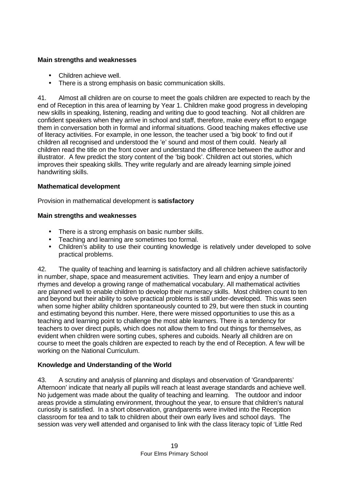## **Main strengths and weaknesses**

- **·** Children achieve well.
- **·** There is a strong emphasis on basic communication skills.

41. Almost all children are on course to meet the goals children are expected to reach by the end of Reception in this area of learning by Year 1. Children make good progress in developing new skills in speaking, listening, reading and writing due to good teaching. Not all children are confident speakers when they arrive in school and staff, therefore, make every effort to engage them in conversation both in formal and informal situations. Good teaching makes effective use of literacy activities. For example, in one lesson, the teacher used a 'big book' to find out if children all recognised and understood the 'e' sound and most of them could. Nearly all children read the title on the front cover and understand the difference between the author and illustrator. A few predict the story content of the 'big book'. Children act out stories, which improves their speaking skills. They write regularly and are already learning simple joined handwriting skills.

# **Mathematical development**

Provision in mathematical development is **satisfactory**

# **Main strengths and weaknesses**

- **·** There is a strong emphasis on basic number skills.
- **·** Teaching and learning are sometimes too formal.
- **·** Children's ability to use their counting knowledge is relatively under developed to solve practical problems.

42. The quality of teaching and learning is satisfactory and all children achieve satisfactorily in number, shape, space and measurement activities. They learn and enjoy a number of rhymes and develop a growing range of mathematical vocabulary. All mathematical activities are planned well to enable children to develop their numeracy skills. Most children count to ten and beyond but their ability to solve practical problems is still under-developed. This was seen when some higher ability children spontaneously counted to 29, but were then stuck in counting and estimating beyond this number. Here, there were missed opportunities to use this as a teaching and learning point to challenge the most able learners. There is a tendency for teachers to over direct pupils, which does not allow them to find out things for themselves, as evident when children were sorting cubes, spheres and cuboids. Nearly all children are on course to meet the goals children are expected to reach by the end of Reception. A few will be working on the National Curriculum.

# **Knowledge and Understanding of the World**

43. A scrutiny and analysis of planning and displays and observation of 'Grandparents' Afternoon' indicate that nearly all pupils will reach at least average standards and achieve well. No judgement was made about the quality of teaching and learning. The outdoor and indoor areas provide a stimulating environment, throughout the year, to ensure that children's natural curiosity is satisfied. In a short observation, grandparents were invited into the Reception classroom for tea and to talk to children about their own early lives and school days. The session was very well attended and organised to link with the class literacy topic of 'Little Red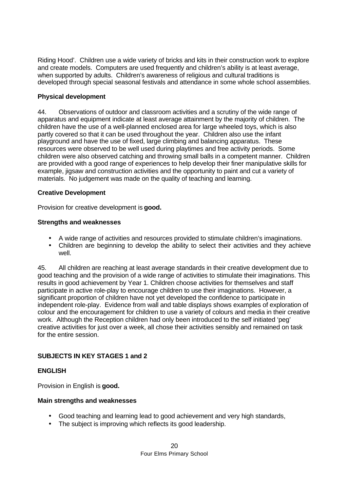Riding Hood'. Children use a wide variety of bricks and kits in their construction work to explore and create models. Computers are used frequently and children's ability is at least average, when supported by adults. Children's awareness of religious and cultural traditions is developed through special seasonal festivals and attendance in some whole school assemblies.

# **Physical development**

44. Observations of outdoor and classroom activities and a scrutiny of the wide range of apparatus and equipment indicate at least average attainment by the majority of children. The children have the use of a well-planned enclosed area for large wheeled toys, which is also partly covered so that it can be used throughout the year. Children also use the infant playground and have the use of fixed, large climbing and balancing apparatus. These resources were observed to be well used during playtimes and free activity periods. Some children were also observed catching and throwing small balls in a competent manner. Children are provided with a good range of experiences to help develop their finer manipulative skills for example, jigsaw and construction activities and the opportunity to paint and cut a variety of materials. No judgement was made on the quality of teaching and learning.

# **Creative Development**

Provision for creative development is **good.**

## **Strengths and weaknesses**

- **·** A wide range of activities and resources provided to stimulate children's imaginations.
- **·** Children are beginning to develop the ability to select their activities and they achieve well.

45. All children are reaching at least average standards in their creative development due to good teaching and the provision of a wide range of activities to stimulate their imaginations. This results in good achievement by Year 1. Children choose activities for themselves and staff participate in active role-play to encourage children to use their imaginations. However, a significant proportion of children have not yet developed the confidence to participate in independent role-play. Evidence from wall and table displays shows examples of exploration of colour and the encouragement for children to use a variety of colours and media in their creative work. Although the Reception children had only been introduced to the self initiated 'peg' creative activities for just over a week, all chose their activities sensibly and remained on task for the entire session.

# **SUBJECTS IN KEY STAGES 1 and 2**

#### **ENGLISH**

Provision in English is **good.**

#### **Main strengths and weaknesses**

- Good teaching and learning lead to good achievement and very high standards,
- The subject is improving which reflects its good leadership.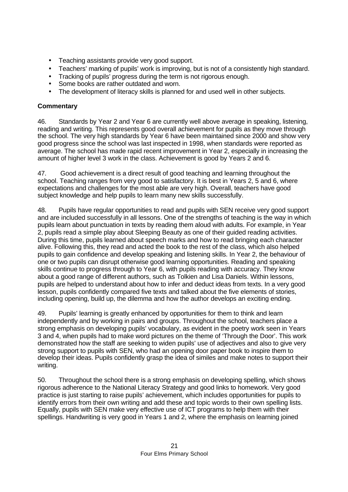- Teaching assistants provide very good support.
- Teachers' marking of pupils' work is improving, but is not of a consistently high standard.
- Tracking of pupils' progress during the term is not rigorous enough.
- Some books are rather outdated and worn.
- The development of literacy skills is planned for and used well in other subjects.

# **Commentary**

46. Standards by Year 2 and Year 6 are currently well above average in speaking, listening, reading and writing. This represents good overall achievement for pupils as they move through the school. The very high standards by Year 6 have been maintained since 2000 and show very good progress since the school was last inspected in 1998, when standards were reported as average. The school has made rapid recent improvement in Year 2, especially in increasing the amount of higher level 3 work in the class. Achievement is good by Years 2 and 6.

47. Good achievement is a direct result of good teaching and learning throughout the school. Teaching ranges from very good to satisfactory. It is best in Years 2, 5 and 6, where expectations and challenges for the most able are very high. Overall, teachers have good subject knowledge and help pupils to learn many new skills successfully.

48. Pupils have regular opportunities to read and pupils with SEN receive very good support and are included successfully in all lessons. One of the strengths of teaching is the way in which pupils learn about punctuation in texts by reading them aloud with adults. For example, in Year 2, pupils read a simple play about Sleeping Beauty as one of their guided reading activities. During this time, pupils learned about speech marks and how to read bringing each character alive. Following this, they read and acted the book to the rest of the class, which also helped pupils to gain confidence and develop speaking and listening skills. In Year 2, the behaviour of one or two pupils can disrupt otherwise good learning opportunities. Reading and speaking skills continue to progress through to Year 6, with pupils reading with accuracy. They know about a good range of different authors, such as Tolkien and Lisa Daniels. Within lessons, pupils are helped to understand about how to infer and deduct ideas from texts. In a very good lesson, pupils confidently compared five texts and talked about the five elements of stories, including opening, build up, the dilemma and how the author develops an exciting ending.

49. Pupils' learning is greatly enhanced by opportunities for them to think and learn independently and by working in pairs and groups. Throughout the school, teachers place a strong emphasis on developing pupils' vocabulary, as evident in the poetry work seen in Years 3 and 4, when pupils had to make word pictures on the theme of 'Through the Door'. This work demonstrated how the staff are seeking to widen pupils' use of adjectives and also to give very strong support to pupils with SEN, who had an opening door paper book to inspire them to develop their ideas. Pupils confidently grasp the idea of similes and make notes to support their writing.

50. Throughout the school there is a strong emphasis on developing spelling, which shows rigorous adherence to the National Literacy Strategy and good links to homework. Very good practice is just starting to raise pupils' achievement, which includes opportunities for pupils to identify errors from their own writing and add these and topic words to their own spelling lists. Equally, pupils with SEN make very effective use of ICT programs to help them with their spellings. Handwriting is very good in Years 1 and 2, where the emphasis on learning joined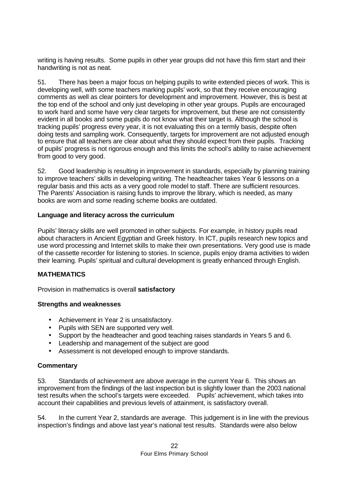writing is having results. Some pupils in other year groups did not have this firm start and their handwriting is not as neat.

51. There has been a major focus on helping pupils to write extended pieces of work. This is developing well, with some teachers marking pupils' work, so that they receive encouraging comments as well as clear pointers for development and improvement. However, this is best at the top end of the school and only just developing in other year groups. Pupils are encouraged to work hard and some have very clear targets for improvement, but these are not consistently evident in all books and some pupils do not know what their target is. Although the school is tracking pupils' progress every year, it is not evaluating this on a termly basis, despite often doing tests and sampling work. Consequently, targets for improvement are not adjusted enough to ensure that all teachers are clear about what they should expect from their pupils. Tracking of pupils' progress is not rigorous enough and this limits the school's ability to raise achievement from good to very good.

52. Good leadership is resulting in improvement in standards, especially by planning training to improve teachers' skills in developing writing. The headteacher takes Year 6 lessons on a regular basis and this acts as a very good role model to staff. There are sufficient resources. The Parents' Association is raising funds to improve the library, which is needed, as many books are worn and some reading scheme books are outdated.

#### **Language and literacy across the curriculum**

Pupils' literacy skills are well promoted in other subjects. For example, in history pupils read about characters in Ancient Egyptian and Greek history. In ICT, pupils research new topics and use word processing and Internet skills to make their own presentations. Very good use is made of the cassette recorder for listening to stories. In science, pupils enjoy drama activities to widen their learning. Pupils' spiritual and cultural development is greatly enhanced through English.

# **MATHEMATICS**

Provision in mathematics is overall **satisfactory**

# **Strengths and weaknesses**

- **·** Achievement in Year 2 is unsatisfactory.
- Pupils with SEN are supported very well.
- **·** Support by the headteacher and good teaching raises standards in Years 5 and 6.
- **·** Leadership and management of the subject are good
- **·** Assessment is not developed enough to improve standards.

# **Commentary**

53. Standards of achievement are above average in the current Year 6. This shows an improvement from the findings of the last inspection but is slightly lower than the 2003 national test results when the school's targets were exceeded. Pupils' achievement, which takes into account their capabilities and previous levels of attainment, is satisfactory overall.

54. In the current Year 2, standards are average. This judgement is in line with the previous inspection's findings and above last year's national test results. Standards were also below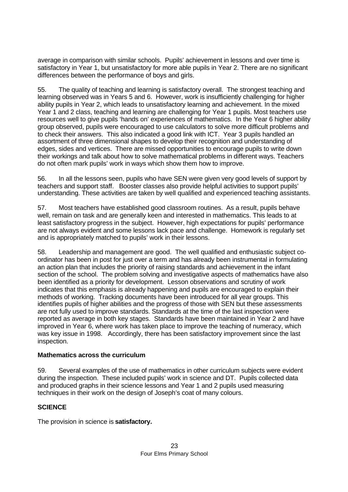average in comparison with similar schools. Pupils' achievement in lessons and over time is satisfactory in Year 1, but unsatisfactory for more able pupils in Year 2. There are no significant differences between the performance of boys and girls.

55. The quality of teaching and learning is satisfactory overall. The strongest teaching and learning observed was in Years 5 and 6. However, work is insufficiently challenging for higher ability pupils in Year 2, which leads to unsatisfactory learning and achievement. In the mixed Year 1 and 2 class, teaching and learning are challenging for Year 1 pupils. Most teachers use resources well to give pupils 'hands on' experiences of mathematics. In the Year 6 higher ability group observed, pupils were encouraged to use calculators to solve more difficult problems and to check their answers. This also indicated a good link with ICT. Year 3 pupils handled an assortment of three dimensional shapes to develop their recognition and understanding of edges, sides and vertices. There are missed opportunities to encourage pupils to write down their workings and talk about how to solve mathematical problems in different ways. Teachers do not often mark pupils' work in ways which show them how to improve.

56. In all the lessons seen, pupils who have SEN were given very good levels of support by teachers and support staff. Booster classes also provide helpful activities to support pupils' understanding. These activities are taken by well qualified and experienced teaching assistants.

57. Most teachers have established good classroom routines. As a result, pupils behave well, remain on task and are generally keen and interested in mathematics. This leads to at least satisfactory progress in the subject. However, high expectations for pupils' performance are not always evident and some lessons lack pace and challenge. Homework is regularly set and is appropriately matched to pupils' work in their lessons.

58. Leadership and management are good. The well qualified and enthusiastic subject coordinator has been in post for just over a term and has already been instrumental in formulating an action plan that includes the priority of raising standards and achievement in the infant section of the school. The problem solving and investigative aspects of mathematics have also been identified as a priority for development. Lesson observations and scrutiny of work indicates that this emphasis is already happening and pupils are encouraged to explain their methods of working. Tracking documents have been introduced for all year groups. This identifies pupils of higher abilities and the progress of those with SEN but these assessments are not fully used to improve standards. Standards at the time of the last inspection were reported as average in both key stages. Standards have been maintained in Year 2 and have improved in Year 6, where work has taken place to improve the teaching of numeracy, which was key issue in 1998. Accordingly, there has been satisfactory improvement since the last inspection.

#### **Mathematics across the curriculum**

59. Several examples of the use of mathematics in other curriculum subjects were evident during the inspection. These included pupils' work in science and DT. Pupils collected data and produced graphs in their science lessons and Year 1 and 2 pupils used measuring techniques in their work on the design of Joseph's coat of many colours.

# **SCIENCE**

The provision in science is **satisfactory.**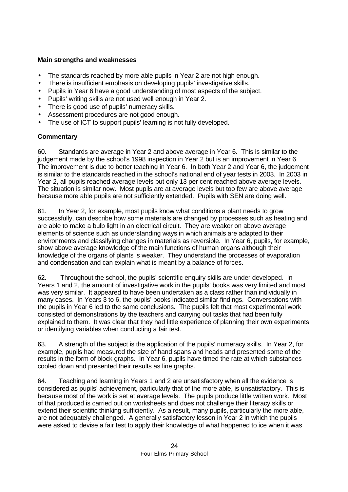## **Main strengths and weaknesses**

- The standards reached by more able pupils in Year 2 are not high enough.
- There is insufficient emphasis on developing pupils' investigative skills.
- Pupils in Year 6 have a good understanding of most aspects of the subject.
- Pupils' writing skills are not used well enough in Year 2.
- There is good use of pupils' numeracy skills.
- Assessment procedures are not good enough.
- The use of ICT to support pupils' learning is not fully developed.

## **Commentary**

60. Standards are average in Year 2 and above average in Year 6. This is similar to the judgement made by the school's 1998 inspection in Year 2 but is an improvement in Year 6. The improvement is due to better teaching in Year 6. In both Year 2 and Year 6, the judgement is similar to the standards reached in the school's national end of year tests in 2003. In 2003 in Year 2, all pupils reached average levels but only 13 per cent reached above average levels. The situation is similar now. Most pupils are at average levels but too few are above average because more able pupils are not sufficiently extended. Pupils with SEN are doing well.

61. In Year 2, for example, most pupils know what conditions a plant needs to grow successfully, can describe how some materials are changed by processes such as heating and are able to make a bulb light in an electrical circuit. They are weaker on above average elements of science such as understanding ways in which animals are adapted to their environments and classifying changes in materials as reversible. In Year 6, pupils, for example, show above average knowledge of the main functions of human organs although their knowledge of the organs of plants is weaker. They understand the processes of evaporation and condensation and can explain what is meant by a balance of forces.

62. Throughout the school, the pupils' scientific enquiry skills are under developed. In Years 1 and 2, the amount of investigative work in the pupils' books was very limited and most was very similar. It appeared to have been undertaken as a class rather than individually in many cases. In Years 3 to 6, the pupils' books indicated similar findings. Conversations with the pupils in Year 6 led to the same conclusions. The pupils felt that most experimental work consisted of demonstrations by the teachers and carrying out tasks that had been fully explained to them. It was clear that they had little experience of planning their own experiments or identifying variables when conducting a fair test.

63. A strength of the subject is the application of the pupils' numeracy skills. In Year 2, for example, pupils had measured the size of hand spans and heads and presented some of the results in the form of block graphs. In Year 6, pupils have timed the rate at which substances cooled down and presented their results as line graphs.

64. Teaching and learning in Years 1 and 2 are unsatisfactory when all the evidence is considered as pupils' achievement, particularly that of the more able, is unsatisfactory. This is because most of the work is set at average levels. The pupils produce little written work. Most of that produced is carried out on worksheets and does not challenge their literacy skills or extend their scientific thinking sufficiently. As a result, many pupils, particularly the more able, are not adequately challenged. A generally satisfactory lesson in Year 2 in which the pupils were asked to devise a fair test to apply their knowledge of what happened to ice when it was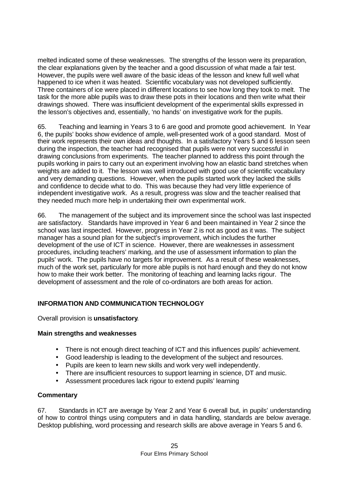melted indicated some of these weaknesses. The strengths of the lesson were its preparation, the clear explanations given by the teacher and a good discussion of what made a fair test. However, the pupils were well aware of the basic ideas of the lesson and knew full well what happened to ice when it was heated. Scientific vocabulary was not developed sufficiently. Three containers of ice were placed in different locations to see how long they took to melt. The task for the more able pupils was to draw these pots in their locations and then write what their drawings showed. There was insufficient development of the experimental skills expressed in the lesson's objectives and, essentially, 'no hands' on investigative work for the pupils.

65. Teaching and learning in Years 3 to 6 are good and promote good achievement. In Year 6, the pupils' books show evidence of ample, well-presented work of a good standard. Most of their work represents their own ideas and thoughts. In a satisfactory Years 5 and 6 lesson seen during the inspection, the teacher had recognised that pupils were not very successful in drawing conclusions from experiments. The teacher planned to address this point through the pupils working in pairs to carry out an experiment involving how an elastic band stretches when weights are added to it. The lesson was well introduced with good use of scientific vocabulary and very demanding questions. However, when the pupils started work they lacked the skills and confidence to decide what to do. This was because they had very little experience of independent investigative work. As a result, progress was slow and the teacher realised that they needed much more help in undertaking their own experimental work.

66. The management of the subject and its improvement since the school was last inspected are satisfactory. Standards have improved in Year 6 and been maintained in Year 2 since the school was last inspected. However, progress in Year 2 is not as good as it was. The subject manager has a sound plan for the subject's improvement, which includes the further development of the use of ICT in science. However, there are weaknesses in assessment procedures, including teachers' marking, and the use of assessment information to plan the pupils' work. The pupils have no targets for improvement. As a result of these weaknesses, much of the work set, particularly for more able pupils is not hard enough and they do not know how to make their work better. The monitoring of teaching and learning lacks rigour. The development of assessment and the role of co-ordinators are both areas for action.

# **INFORMATION AND COMMUNICATION TECHNOLOGY**

Overall provision is **unsatisfactory**.

# **Main strengths and weaknesses**

- There is not enough direct teaching of ICT and this influences pupils' achievement.
- Good leadership is leading to the development of the subject and resources.
- Pupils are keen to learn new skills and work very well independently.
- There are insufficient resources to support learning in science, DT and music.
- Assessment procedures lack rigour to extend pupils' learning

#### **Commentary**

67. Standards in ICT are average by Year 2 and Year 6 overall but, in pupils' understanding of how to control things using computers and in data handling, standards are below average. Desktop publishing, word processing and research skills are above average in Years 5 and 6.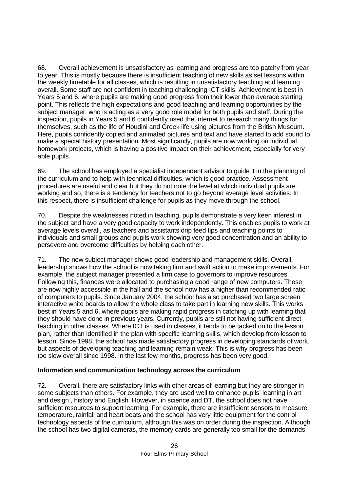68. Overall achievement is unsatisfactory as learning and progress are too patchy from year to year. This is mostly because there is insufficient teaching of new skills as set lessons within the weekly timetable for all classes, which is resulting in unsatisfactory teaching and learning overall. Some staff are not confident in teaching challenging ICT skills. Achievement is best in Years 5 and 6, where pupils are making good progress from their lower than average starting point. This reflects the high expectations and good teaching and learning opportunities by the subject manager, who is acting as a very good role model for both pupils and staff. During the inspection, pupils in Years 5 and 6 confidently used the Internet to research many things for themselves, such as the life of Houdini and Greek life using pictures from the British Museum. Here, pupils confidently copied and animated pictures and text and have started to add sound to make a special history presentation. Most significantly, pupils are now working on individual homework projects, which is having a positive impact on their achievement, especially for very able pupils.

69. The school has employed a specialist independent advisor to guide it in the planning of the curriculum and to help with technical difficulties, which is good practice. Assessment procedures are useful and clear but they do not note the level at which individual pupils are working and so, there is a tendency for teachers not to go beyond average level activities. In this respect, there is insufficient challenge for pupils as they move through the school.

70. Despite the weaknesses noted in teaching, pupils demonstrate a very keen interest in the subject and have a very good capacity to work independently. This enables pupils to work at average levels overall, as teachers and assistants drip feed tips and teaching points to individuals and small groups and pupils work showing very good concentration and an ability to persevere and overcome difficulties by helping each other.

71. The new subject manager shows good leadership and management skills. Overall, leadership shows how the school is now taking firm and swift action to make improvements. For example, the subject manager presented a firm case to governors to improve resources. Following this, finances were allocated to purchasing a good range of new computers. These are now highly accessible in the hall and the school now has a higher than recommended ratio of computers to pupils. Since January 2004, the school has also purchased two large screen interactive white boards to allow the whole class to take part in learning new skills. This works best in Years 5 and 6, where pupils are making rapid progress in catching up with learning that they should have done in previous years. Currently, pupils are still not having sufficient direct teaching in other classes. Where ICT is used in classes, it tends to be tacked on to the lesson plan, rather than identified in the plan with specific learning skills, which develop from lesson to lesson. Since 1998, the school has made satisfactory progress in developing standards of work, but aspects of developing teaching and learning remain weak. This is why progress has been too slow overall since 1998. In the last few months, progress has been very good.

#### **Information and communication technology across the curriculum**

72. Overall, there are satisfactory links with other areas of learning but they are stronger in some subjects than others. For example, they are used well to enhance pupils' learning in art and design , history and English. However, in science and DT, the school does not have sufficient resources to support learning. For example, there are insufficient sensors to measure temperature, rainfall and heart beats and the school has very little equipment for the control technology aspects of the curriculum, although this was on order during the inspection. Although the school has two digital cameras, the memory cards are generally too small for the demands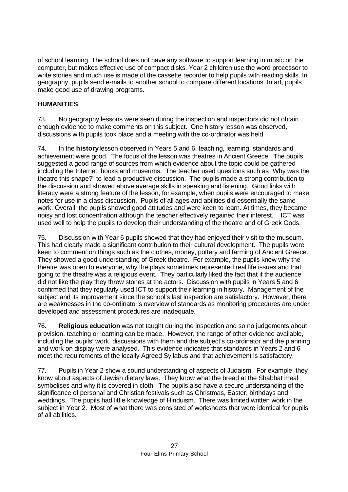of school learning. The school does not have any software to support learning in music on the computer, but makes effective use of compact disks. Year 2 children use the word processor to write stories and much use is made of the cassette recorder to help pupils with reading skills. In geography, pupils send e-mails to another school to compare different locations. In art, pupils make good use of drawing programs.

# **HUMANITIES**

73. No geography lessons were seen during the inspection and inspectors did not obtain enough evidence to make comments on this subject. One history lesson was observed, discussions with pupils took place and a meeting with the co-ordinator was held.

74. In the **history** lesson observed in Years 5 and 6, teaching, learning, standards and achievement were good. The focus of the lesson was theatres in Ancient Greece. The pupils suggested a good range of sources from which evidence about the topic could be gathered including the Internet, books and museums. The teacher used questions such as "Why was the theatre this shape?" to lead a productive discussion. The pupils made a strong contribution to the discussion and showed above average skills in speaking and listening. Good links with literacy were a strong feature of the lesson, for example, when pupils were encouraged to make notes for use in a class discussion. Pupils of all ages and abilities did essentially the same work. Overall, the pupils showed good attitudes and were keen to learn. At times, they became noisy and lost concentration although the teacher effectively regained their interest. ICT was used well to help the pupils to develop their understanding of the theatre and of Greek Gods.

75. Discussion with Year 6 pupils showed that they had enjoyed their visit to the museum. This had clearly made a significant contribution to their cultural development. The pupils were keen to comment on things such as the clothes, money, pottery and farming of Ancient Greece. They showed a good understanding of Greek theatre. For example, the pupils knew why the theatre was open to everyone, why the plays sometimes represented real life issues and that going to the theatre was a religious event. They particularly liked the fact that if the audience did not like the play they threw stones at the actors. Discussion with pupils in Years 5 and 6 confirmed that they regularly used ICT to support their learning in history. Management of the subject and its improvement since the school's last inspection are satisfactory. However, there are weaknesses in the co-ordinator's overview of standards as monitoring procedures are under developed and assessment procedures are inadequate.

76. **Religious education** was not taught during the inspection and so no judgements about provision, teaching or learning can be made. However, the range of other evidence available, including the pupils' work, discussions with them and the subject's co-ordinator and the planning and work on display were analysed. This evidence indicates that standards in Years 2 and 6 meet the requirements of the locally Agreed Syllabus and that achievement is satisfactory.

77. Pupils in Year 2 show a sound understanding of aspects of Judaism. For example, they know about aspects of Jewish dietary laws. They know what the bread at the Shabbat meal symbolises and why it is covered in cloth. The pupils also have a secure understanding of the significance of personal and Christian festivals such as Christmas, Easter, birthdays and weddings. The pupils had little knowledge of Hinduism. There was limited written work in the subject in Year 2. Most of what there was consisted of worksheets that were identical for pupils of all abilities.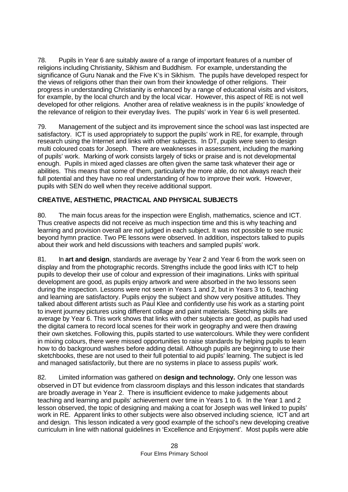78. Pupils in Year 6 are suitably aware of a range of important features of a number of religions including Christianity, Sikhism and Buddhism. For example, understanding the significance of Guru Nanak and the Five K's in Sikhism. The pupils have developed respect for the views of religions other than their own from their knowledge of other religions. Their progress in understanding Christianity is enhanced by a range of educational visits and visitors, for example, by the local church and by the local vicar. However, this aspect of RE is not well developed for other religions. Another area of relative weakness is in the pupils' knowledge of the relevance of religion to their everyday lives. The pupils' work in Year 6 is well presented.

79. Management of the subject and its improvement since the school was last inspected are satisfactory. ICT is used appropriately to support the pupils' work in RE, for example, through research using the Internet and links with other subjects. In DT, pupils were seen to design multi coloured coats for Joseph. There are weaknesses in assessment, including the marking of pupils' work. Marking of work consists largely of ticks or praise and is not developmental enough. Pupils in mixed aged classes are often given the same task whatever their age or abilities. This means that some of them, particularly the more able, do not always reach their full potential and they have no real understanding of how to improve their work. However, pupils with SEN do well when they receive additional support.

# **CREATIVE, AESTHETIC, PRACTICAL AND PHYSICAL SUBJECTS**

80. The main focus areas for the inspection were English, mathematics, science and ICT. Thus creative aspects did not receive as much inspection time and this is why teaching and learning and provision overall are not judged in each subject. It was not possible to see music beyond hymn practice. Two PE lessons were observed. In addition, inspectors talked to pupils about their work and held discussions with teachers and sampled pupils' work.

81. In **art and design**, standards are average by Year 2 and Year 6 from the work seen on display and from the photographic records. Strengths include the good links with ICT to help pupils to develop their use of colour and expression of their imaginations. Links with spiritual development are good, as pupils enjoy artwork and were absorbed in the two lessons seen during the inspection. Lessons were not seen in Years 1 and 2, but in Years 3 to 6, teaching and learning are satisfactory. Pupils enjoy the subject and show very positive attitudes. They talked about different artists such as Paul Klee and confidently use his work as a starting point to invent journey pictures using different collage and paint materials. Sketching skills are average by Year 6. This work shows that links with other subjects are good, as pupils had used the digital camera to record local scenes for their work in geography and were then drawing their own sketches. Following this, pupils started to use watercolours. While they were confident in mixing colours, there were missed opportunities to raise standards by helping pupils to learn how to do background washes before adding detail. Although pupils are beginning to use their sketchbooks, these are not used to their full potential to aid pupils' learning. The subject is led and managed satisfactorily, but there are no systems in place to assess pupils' work.

82. Limited information was gathered on **design and technology.** Only one lesson was observed in DT but evidence from classroom displays and this lesson indicates that standards are broadly average in Year 2. There is insufficient evidence to make judgements about teaching and learning and pupils' achievement over time in Years 1 to 6. In the Year 1 and 2 lesson observed, the topic of designing and making a coat for Joseph was well linked to pupils' work in RE. Apparent links to other subjects were also observed including science, ICT and art and design. This lesson indicated a very good example of the school's new developing creative curriculum in line with national guidelines in 'Excellence and Enjoyment'. Most pupils were able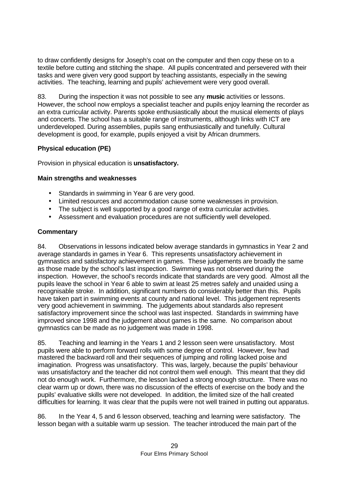to draw confidently designs for Joseph's coat on the computer and then copy these on to a textile before cutting and stitching the shape. All pupils concentrated and persevered with their tasks and were given very good support by teaching assistants, especially in the sewing activities. The teaching, learning and pupils' achievement were very good overall.

83. During the inspection it was not possible to see any **music** activities or lessons. However, the school now employs a specialist teacher and pupils enjoy learning the recorder as an extra curricular activity. Parents spoke enthusiastically about the musical elements of plays and concerts. The school has a suitable range of instruments, although links with ICT are underdeveloped. During assemblies, pupils sang enthusiastically and tunefully. Cultural development is good, for example, pupils enjoyed a visit by African drummers.

# **Physical education (PE)**

Provision in physical education is **unsatisfactory.**

# **Main strengths and weaknesses**

- Standards in swimming in Year 6 are very good.
- Limited resources and accommodation cause some weaknesses in provision.
- The subject is well supported by a good range of extra curricular activities.
- Assessment and evaluation procedures are not sufficiently well developed.

# **Commentary**

84. Observations in lessons indicated below average standards in gymnastics in Year 2 and average standards in games in Year 6. This represents unsatisfactory achievement in gymnastics and satisfactory achievement in games. These judgements are broadly the same as those made by the school's last inspection. Swimming was not observed during the inspection. However, the school's records indicate that standards are very good. Almost all the pupils leave the school in Year 6 able to swim at least 25 metres safely and unaided using a recognisable stroke. In addition, significant numbers do considerably better than this. Pupils have taken part in swimming events at county and national level. This judgement represents very good achievement in swimming. The judgements about standards also represent satisfactory improvement since the school was last inspected. Standards in swimming have improved since 1998 and the judgement about games is the same. No comparison about gymnastics can be made as no judgement was made in 1998.

85. Teaching and learning in the Years 1 and 2 lesson seen were unsatisfactory. Most pupils were able to perform forward rolls with some degree of control. However, few had mastered the backward roll and their sequences of jumping and rolling lacked poise and imagination. Progress was unsatisfactory. This was, largely, because the pupils' behaviour was unsatisfactory and the teacher did not control them well enough. This meant that they did not do enough work. Furthermore, the lesson lacked a strong enough structure. There was no clear warm up or down, there was no discussion of the effects of exercise on the body and the pupils' evaluative skills were not developed. In addition, the limited size of the hall created difficulties for learning. It was clear that the pupils were not well trained in putting out apparatus.

86. In the Year 4, 5 and 6 lesson observed, teaching and learning were satisfactory. The lesson began with a suitable warm up session. The teacher introduced the main part of the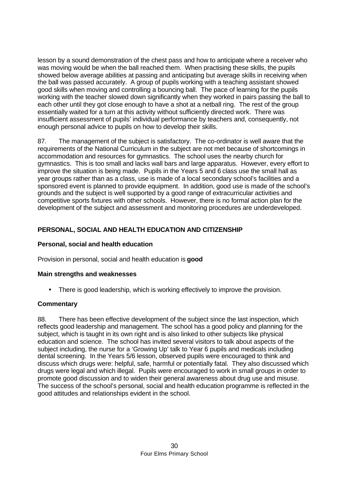lesson by a sound demonstration of the chest pass and how to anticipate where a receiver who was moving would be when the ball reached them. When practising these skills, the pupils showed below average abilities at passing and anticipating but average skills in receiving when the ball was passed accurately. A group of pupils working with a teaching assistant showed good skills when moving and controlling a bouncing ball. The pace of learning for the pupils working with the teacher slowed down significantly when they worked in pairs passing the ball to each other until they got close enough to have a shot at a netball ring. The rest of the group essentially waited for a turn at this activity without sufficiently directed work. There was insufficient assessment of pupils' individual performance by teachers and, consequently, not enough personal advice to pupils on how to develop their skills.

87. The management of the subject is satisfactory. The co-ordinator is well aware that the requirements of the National Curriculum in the subject are not met because of shortcomings in accommodation and resources for gymnastics. The school uses the nearby church for gymnastics. This is too small and lacks wall bars and large apparatus. However, every effort to improve the situation is being made. Pupils in the Years 5 and 6 class use the small hall as year groups rather than as a class, use is made of a local secondary school's facilities and a sponsored event is planned to provide equipment. In addition, good use is made of the school's grounds and the subject is well supported by a good range of extracurricular activities and competitive sports fixtures with other schools. However, there is no formal action plan for the development of the subject and assessment and monitoring procedures are underdeveloped.

# **PERSONAL, SOCIAL AND HEALTH EDUCATION AND CITIZENSHIP**

# **Personal, social and health education**

Provision in personal, social and health education is **good**

# **Main strengths and weaknesses**

• There is good leadership, which is working effectively to improve the provision.

# **Commentary**

88. There has been effective development of the subject since the last inspection, which reflects good leadership and management. The school has a good policy and planning for the subject, which is taught in its own right and is also linked to other subjects like physical education and science. The school has invited several visitors to talk about aspects of the subject including, the nurse for a 'Growing Up' talk to Year 6 pupils and medicals including dental screening. In the Years 5/6 lesson, observed pupils were encouraged to think and discuss which drugs were: helpful, safe, harmful or potentially fatal. They also discussed which drugs were legal and which illegal. Pupils were encouraged to work in small groups in order to promote good discussion and to widen their general awareness about drug use and misuse. The success of the school's personal, social and health education programme is reflected in the good attitudes and relationships evident in the school.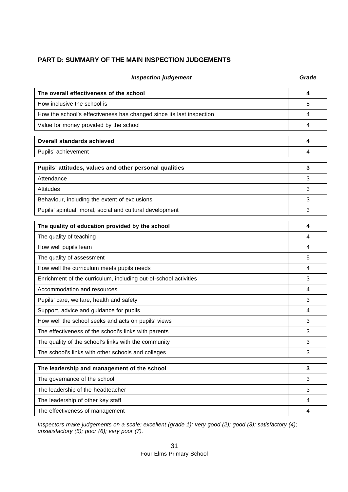# **PART D: SUMMARY OF THE MAIN INSPECTION JUDGEMENTS**

| The overall effectiveness of the school                              | 4 |
|----------------------------------------------------------------------|---|
| How inclusive the school is                                          | 5 |
| How the school's effectiveness has changed since its last inspection | 4 |
| Value for money provided by the school                               | 4 |
| <b>Overall standards achieved</b>                                    | 4 |
| Pupils' achievement                                                  | 4 |
| Pupils' attitudes, values and other personal qualities               | 3 |
| Attendance                                                           | 3 |
| Attitudes                                                            | 3 |
| Behaviour, including the extent of exclusions                        | 3 |
| Pupils' spiritual, moral, social and cultural development            | 3 |
| The quality of education provided by the school                      | 4 |
| The quality of teaching                                              | 4 |
| How well pupils learn                                                | 4 |
| The quality of assessment                                            | 5 |
| How well the curriculum meets pupils needs                           | 4 |
| Enrichment of the curriculum, including out-of-school activities     | 3 |
| Accommodation and resources                                          | 4 |
| Pupils' care, welfare, health and safety                             | 3 |
| Support, advice and guidance for pupils                              | 4 |
| How well the school seeks and acts on pupils' views                  | 3 |
| The effectiveness of the school's links with parents                 | 3 |
| The quality of the school's links with the community                 | 3 |
| The school's links with other schools and colleges                   | 3 |
| The leadership and management of the school                          | 3 |
| The governance of the school                                         | 3 |
| The leadership of the headteacher                                    | 3 |
| The leadership of other key staff                                    | 4 |
| The effectiveness of management                                      | 4 |

**Inspection judgement Grade Grade** 

*Inspectors make judgements on a scale: excellent (grade 1); very good (2); good (3); satisfactory (4); unsatisfactory (5); poor (6); very poor (7).*